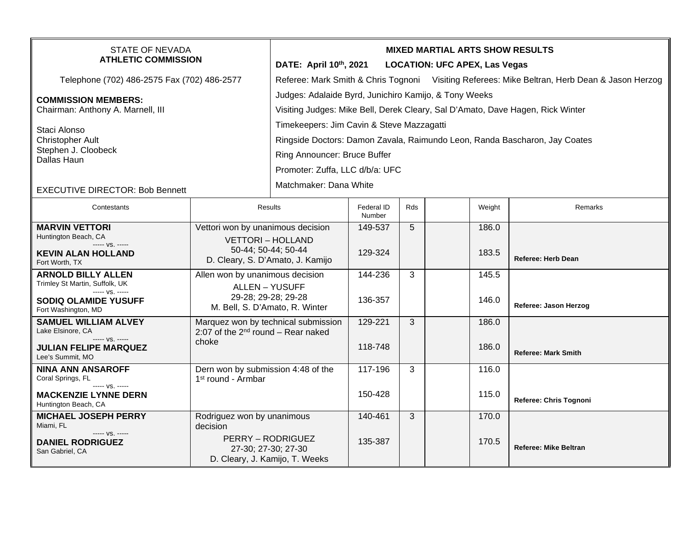| STATE OF NEVADA<br><b>ATHLETIC COMMISSION</b>                                                                                        |                                                                                                                             | <b>MIXED MARTIAL ARTS SHOW RESULTS</b><br>DATE: April 10th, 2021<br><b>LOCATION: UFC APEX, Las Vegas</b>                                                                                   |                      |     |  |                |                              |  |
|--------------------------------------------------------------------------------------------------------------------------------------|-----------------------------------------------------------------------------------------------------------------------------|--------------------------------------------------------------------------------------------------------------------------------------------------------------------------------------------|----------------------|-----|--|----------------|------------------------------|--|
| Telephone (702) 486-2575 Fax (702) 486-2577                                                                                          |                                                                                                                             | Referee: Mark Smith & Chris Tognoni Visiting Referees: Mike Beltran, Herb Dean & Jason Herzog                                                                                              |                      |     |  |                |                              |  |
| <b>COMMISSION MEMBERS:</b><br>Chairman: Anthony A. Marnell, III                                                                      |                                                                                                                             | Judges: Adalaide Byrd, Junichiro Kamijo, & Tony Weeks<br>Visiting Judges: Mike Bell, Derek Cleary, Sal D'Amato, Dave Hagen, Rick Winter                                                    |                      |     |  |                |                              |  |
| Staci Alonso<br><b>Christopher Ault</b><br>Stephen J. Cloobeck<br>Dallas Haun                                                        |                                                                                                                             | Timekeepers: Jim Cavin & Steve Mazzagatti<br>Ringside Doctors: Damon Zavala, Raimundo Leon, Randa Bascharon, Jay Coates<br>Ring Announcer: Bruce Buffer<br>Promoter: Zuffa, LLC d/b/a: UFC |                      |     |  |                |                              |  |
| <b>EXECUTIVE DIRECTOR: Bob Bennett</b>                                                                                               |                                                                                                                             | Matchmaker: Dana White                                                                                                                                                                     |                      |     |  |                |                              |  |
| Contestants                                                                                                                          | Results                                                                                                                     |                                                                                                                                                                                            | Federal ID<br>Number | Rds |  | Weight         | Remarks                      |  |
| <b>MARVIN VETTORI</b><br>Huntington Beach, CA<br>----- VS. -----<br><b>KEVIN ALAN HOLLAND</b><br>Fort Worth, TX                      | Vettori won by unanimous decision<br><b>VETTORI-HOLLAND</b><br>50-44; 50-44; 50-44<br>D. Cleary, S. D'Amato, J. Kamijo      |                                                                                                                                                                                            | 149-537<br>129-324   | 5   |  | 186.0<br>183.5 | <b>Referee: Herb Dean</b>    |  |
| <b>ARNOLD BILLY ALLEN</b><br>Trimley St Martin, Suffolk, UK<br>----- VS. -----<br><b>SODIQ OLAMIDE YUSUFF</b><br>Fort Washington, MD | Allen won by unanimous decision<br><b>ALLEN - YUSUFF</b><br>29-28; 29-28; 29-28<br>M. Bell, S. D'Amato, R. Winter           |                                                                                                                                                                                            | 144-236<br>136-357   | 3   |  | 145.5<br>146.0 | Referee: Jason Herzog        |  |
| <b>SAMUEL WILLIAM ALVEY</b><br>Lake Elsinore, CA<br>----- VS. -----<br><b>JULIAN FELIPE MARQUEZ</b><br>Lee's Summit, MO              | Marquez won by technical submission<br>2:07 of the $2^{nd}$ round – Rear naked<br>choke                                     |                                                                                                                                                                                            | 129-221<br>118-748   | 3   |  | 186.0<br>186.0 | <b>Referee: Mark Smith</b>   |  |
| <b>NINA ANN ANSAROFF</b><br>Coral Springs, FL<br>----- VS. -----<br><b>MACKENZIE LYNNE DERN</b>                                      | Dern won by submission 4:48 of the<br>1 <sup>st</sup> round - Armbar                                                        |                                                                                                                                                                                            | 117-196<br>150-428   | 3   |  | 116.0<br>115.0 |                              |  |
| Huntington Beach, CA                                                                                                                 |                                                                                                                             |                                                                                                                                                                                            |                      |     |  |                | Referee: Chris Tognoni       |  |
| <b>MICHAEL JOSEPH PERRY</b><br>Miami, FL<br>$--- VS. ---$<br><b>DANIEL RODRIGUEZ</b><br>San Gabriel, CA                              | Rodriguez won by unanimous<br>decision<br><b>PERRY - RODRIGUEZ</b><br>27-30; 27-30; 27-30<br>D. Cleary, J. Kamijo, T. Weeks |                                                                                                                                                                                            | 140-461<br>135-387   | 3   |  | 170.0<br>170.5 | <b>Referee: Mike Beltran</b> |  |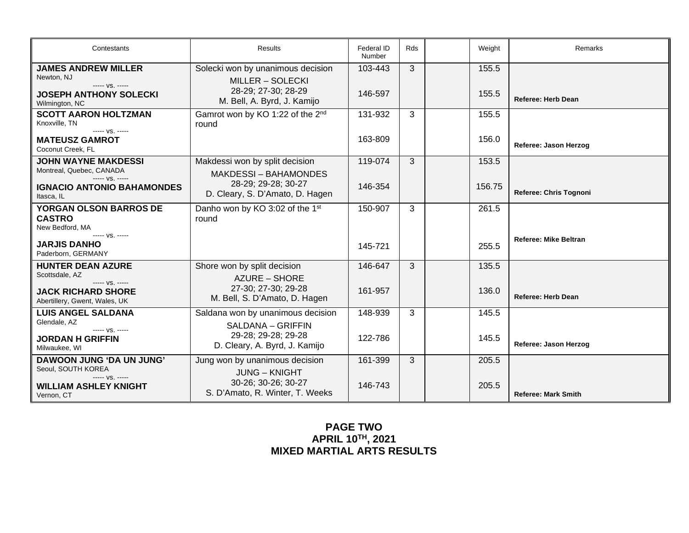| Contestants                                                                                                    | Results                                                                                                            | Federal ID<br>Number | Rds | Weight         | Remarks                      |
|----------------------------------------------------------------------------------------------------------------|--------------------------------------------------------------------------------------------------------------------|----------------------|-----|----------------|------------------------------|
| <b>JAMES ANDREW MILLER</b><br>Newton, NJ<br>----- VS. -----<br><b>JOSEPH ANTHONY SOLECKI</b><br>Wilmington, NC | Solecki won by unanimous decision<br><b>MILLER - SOLECKI</b><br>28-29; 27-30; 28-29<br>M. Bell, A. Byrd, J. Kamijo | 103-443<br>146-597   | 3   | 155.5<br>155.5 | <b>Referee: Herb Dean</b>    |
| <b>SCOTT AARON HOLTZMAN</b><br>Knoxville, TN<br>$--- VS. ---$<br><b>MATEUSZ GAMROT</b>                         | Gamrot won by KO 1:22 of the 2 <sup>nd</sup><br>round                                                              | 131-932<br>163-809   | 3   | 155.5<br>156.0 | Referee: Jason Herzog        |
| Coconut Creek, FL<br><b>JOHN WAYNE MAKDESSI</b><br>Montreal, Quebec, CANADA                                    | Makdessi won by split decision<br><b>MAKDESSI – BAHAMONDES</b>                                                     | 119-074              | 3   | 153.5          |                              |
| $--- V.S. ---$<br><b>IGNACIO ANTONIO BAHAMONDES</b><br>Itasca, IL                                              | 28-29; 29-28; 30-27<br>D. Cleary, S. D'Amato, D. Hagen                                                             | 146-354              |     | 156.75         | Referee: Chris Tognoni       |
| YORGAN OLSON BARROS DE<br><b>CASTRO</b><br>New Bedford, MA                                                     | Danho won by KO 3:02 of the 1st<br>round                                                                           | 150-907              | 3   | 261.5          |                              |
| ----- VS. -----<br><b>JARJIS DANHO</b><br>Paderborn, GERMANY                                                   |                                                                                                                    | 145-721              |     | 255.5          | <b>Referee: Mike Beltran</b> |
| <b>HUNTER DEAN AZURE</b><br>Scottsdale, AZ<br>----- VS. -----                                                  | Shore won by split decision<br>AZURE – SHORE                                                                       | 146-647              | 3   | 135.5          |                              |
| <b>JACK RICHARD SHORE</b><br>Abertillery, Gwent, Wales, UK                                                     | 27-30; 27-30; 29-28<br>M. Bell, S. D'Amato, D. Hagen                                                               | 161-957              |     | 136.0          | <b>Referee: Herb Dean</b>    |
| <b>LUIS ANGEL SALDANA</b><br>Glendale, AZ<br>$--- VS. ---$                                                     | Saldana won by unanimous decision<br>SALDANA - GRIFFIN                                                             | 148-939              | 3   | 145.5          |                              |
| <b>JORDAN H GRIFFIN</b><br>Milwaukee, WI                                                                       | 29-28; 29-28; 29-28<br>D. Cleary, A. Byrd, J. Kamijo                                                               | 122-786              |     | 145.5          | Referee: Jason Herzog        |
| DAWOON JUNG 'DA UN JUNG'<br>Seoul, SOUTH KOREA<br>----- VS. -----<br><b>WILLIAM ASHLEY KNIGHT</b>              | Jung won by unanimous decision<br><b>JUNG – KNIGHT</b><br>30-26; 30-26; 30-27<br>S. D'Amato, R. Winter, T. Weeks   | 161-399<br>146-743   | 3   | 205.5<br>205.5 | <b>Referee: Mark Smith</b>   |
| Vernon, CT                                                                                                     |                                                                                                                    |                      |     |                |                              |

## **PAGE TWO APRIL 10TH, 2021 MIXED MARTIAL ARTS RESULTS**